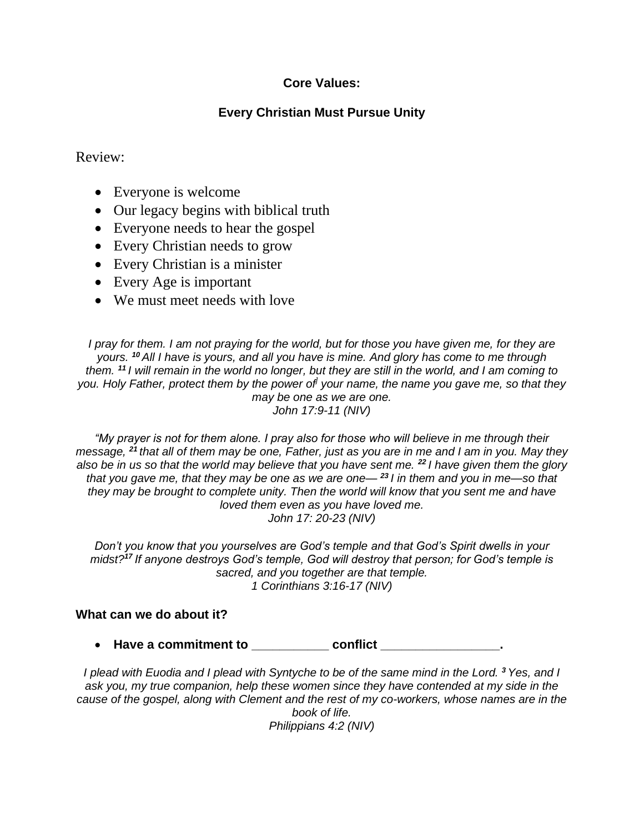## **Core Values:**

## **Every Christian Must Pursue Unity**

## Review:

- Everyone is welcome
- Our legacy begins with biblical truth
- Everyone needs to hear the gospel
- Every Christian needs to grow
- Every Christian is a minister
- Every Age is important
- We must meet needs with love

*I pray for them. I am not praying for the world, but for those you have given me, for they are yours. <sup>10</sup> All I have is yours, and all you have is mine. And glory has come to me through them. <sup>11</sup> I will remain in the world no longer, but they are still in the world, and I am coming to you. Holy Father, protect them by the power of] your name, the name you gave me, so that they may be one as we are one. John 17:9-11 (NIV)*

*"My prayer is not for them alone. I pray also for those who will believe in me through their message, <sup>21</sup> that all of them may be one, Father, just as you are in me and I am in you. May they also be in us so that the world may believe that you have sent me. <sup>22</sup> I have given them the glory that you gave me, that they may be one as we are one— <sup>23</sup> I in them and you in me—so that they may be brought to complete unity. Then the world will know that you sent me and have loved them even as you have loved me. John 17: 20-23 (NIV)*

*Don't you know that you yourselves are God's temple and that God's Spirit dwells in your midst?<sup>17</sup> If anyone destroys God's temple, God will destroy that person; for God's temple is sacred, and you together are that temple. 1 Corinthians 3:16-17 (NIV)*

## **What can we do about it?**

• **Have a commitment to \_\_\_\_\_\_\_\_\_\_\_ conflict \_\_\_\_\_\_\_\_\_\_\_\_\_\_\_\_\_.**

*I plead with Euodia and I plead with Syntyche to be of the same mind in the Lord. <sup>3</sup> Yes, and I ask you, my true companion, help these women since they have contended at my side in the cause of the gospel, along with Clement and the rest of my co-workers, whose names are in the book of life. Philippians 4:2 (NIV)*